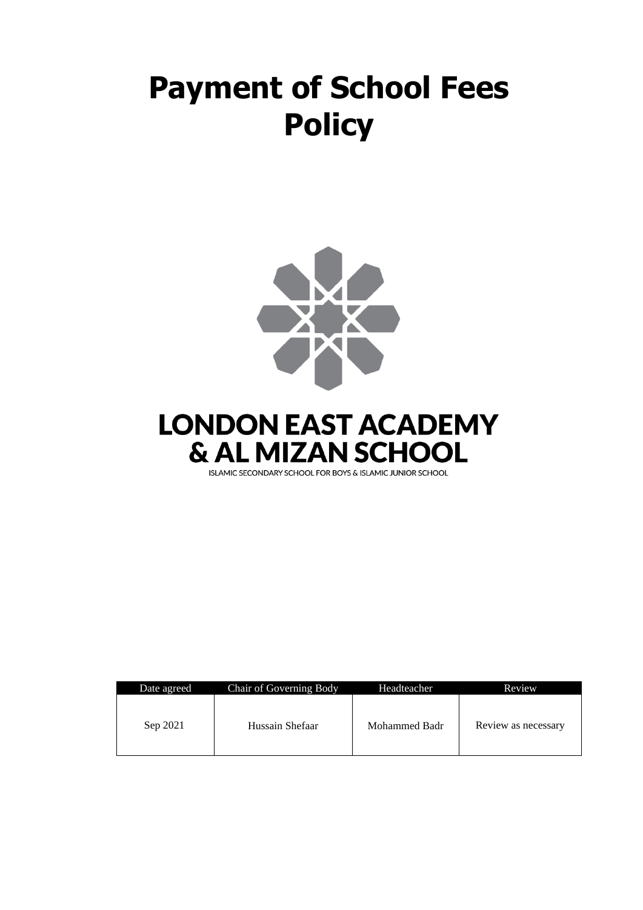# **Payment of School Fees Policy**





ISLAMIC SECONDARY SCHOOL FOR BOYS & ISLAMIC JUNIOR SCHOOL

| Date agreed | Chair of Governing Body | Headteacher   | Review              |
|-------------|-------------------------|---------------|---------------------|
| Sep 2021    | Hussain Shefaar         | Mohammed Badr | Review as necessary |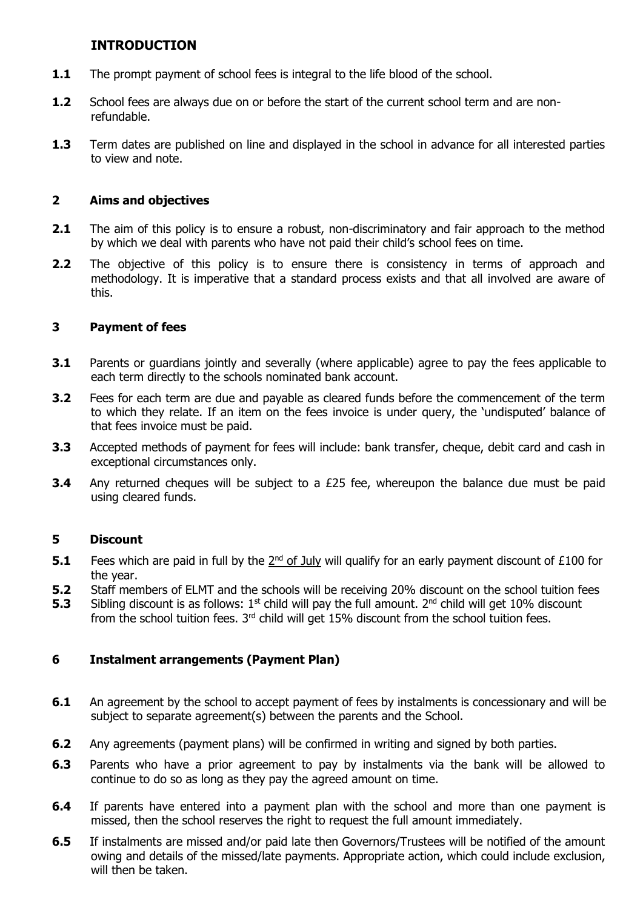# **INTRODUCTION**

- **1.1** The prompt payment of school fees is integral to the life blood of the school.
- **1.2** School fees are always due on or before the start of the current school term and are nonrefundable.
- **1.3** Term dates are published on line and displayed in the school in advance for all interested parties to view and note.

## **2 Aims and objectives**

- **2.1** The aim of this policy is to ensure a robust, non-discriminatory and fair approach to the method by which we deal with parents who have not paid their child's school fees on time.
- **2.2** The objective of this policy is to ensure there is consistency in terms of approach and methodology. It is imperative that a standard process exists and that all involved are aware of this.

## **3 Payment of fees**

- **3.1** Parents or guardians jointly and severally (where applicable) agree to pay the fees applicable to each term directly to the schools nominated bank account.
- **3.2** Fees for each term are due and payable as cleared funds before the commencement of the term to which they relate. If an item on the fees invoice is under query, the 'undisputed' balance of that fees invoice must be paid.
- **3.3** Accepted methods of payment for fees will include: bank transfer, cheque, debit card and cash in exceptional circumstances only.
- **3.4** Any returned cheques will be subject to a £25 fee, whereupon the balance due must be paid using cleared funds.

# **5 Discount**

- **5.1** Fees which are paid in full by the  $2<sup>nd</sup>$  of July will qualify for an early payment discount of £100 for the year.
- **5.2** Staff members of ELMT and the schools will be receiving 20% discount on the school tuition fees
- **5.3** Sibling discount is as follows: 1<sup>st</sup> child will pay the full amount. 2<sup>nd</sup> child will get 10% discount from the school tuition fees.  $3<sup>rd</sup>$  child will get 15% discount from the school tuition fees.

### **6 Instalment arrangements (Payment Plan)**

- **6.1** An agreement by the school to accept payment of fees by instalments is concessionary and will be subject to separate agreement(s) between the parents and the School.
- **6.2** Any agreements (payment plans) will be confirmed in writing and signed by both parties.
- **6.3** Parents who have a prior agreement to pay by instalments via the bank will be allowed to continue to do so as long as they pay the agreed amount on time.
- **6.4** If parents have entered into a payment plan with the school and more than one payment is missed, then the school reserves the right to request the full amount immediately.
- **6.5** If instalments are missed and/or paid late then Governors/Trustees will be notified of the amount owing and details of the missed/late payments. Appropriate action, which could include exclusion, will then be taken.